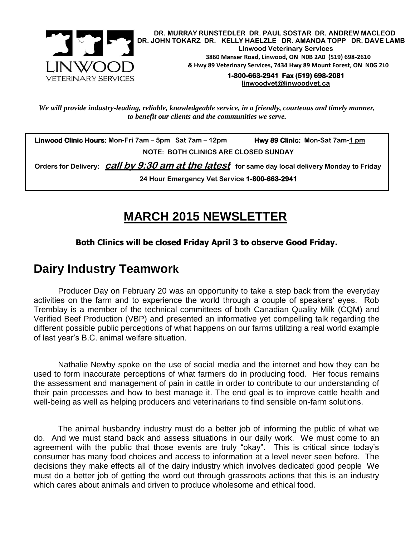

 **DR. MURRAY RUNSTEDLER DR. PAUL SOSTAR DR. ANDREW MACLEOD DR. JOHN TOKARZ DR. KELLY HAELZLE DR. AMANDA TOPP DR. DAVE LAMB Linwood Veterinary Services 3860 Manser Road, Linwood, ON N0B 2A0 (519) 698-2610** *&* **Hwy 89 Veterinary Services, 7434 Hwy 89 Mount Forest, ON N0G 2L0 1-800-663-2941 Fax (519) 698-2081** 

**[linwoodvet@linwoodvet.ca](mailto:linwoodvet@linwoodvet.ca)**

*We will provide industry-leading, reliable, knowledgeable service, in a friendly, courteous and timely manner, to benefit our clients and the communities we serve.*

 **Linwood Clinic Hours: Mon-Fri 7am – 5pm Sat 7am – 12pm Hwy 89 Clinic: Mon-Sat 7am-1 pm NOTE: BOTH CLINICS ARE CLOSED SUNDAY**

 **Orders for Delivery: call by 9:30 am at the latest for same day local delivery Monday to Friday** 

**24 Hour Emergency Vet Service 1-800-663-2941** 

### **MARCH 2015 NEWSLETTER**

## **Both Clinics will be closed Friday April 3 to observe Good Friday.**

### **Dairy Industry Teamwork**

Producer Day on February 20 was an opportunity to take a step back from the everyday activities on the farm and to experience the world through a couple of speakers' eyes. Rob Tremblay is a member of the technical committees of both Canadian Quality Milk (CQM) and Verified Beef Production (VBP) and presented an informative yet compelling talk regarding the different possible public perceptions of what happens on our farms utilizing a real world example of last year's B.C. animal welfare situation.

Nathalie Newby spoke on the use of social media and the internet and how they can be used to form inaccurate perceptions of what farmers do in producing food. Her focus remains the assessment and management of pain in cattle in order to contribute to our understanding of their pain processes and how to best manage it. The end goal is to improve cattle health and well-being as well as helping producers and veterinarians to find sensible on-farm solutions.

The animal husbandry industry must do a better job of informing the public of what we do. And we must stand back and assess situations in our daily work. We must come to an agreement with the public that those events are truly "okay". This is critical since today's consumer has many food choices and access to information at a level never seen before. The decisions they make effects all of the dairy industry which involves dedicated good people We must do a better job of getting the word out through grassroots actions that this is an industry which cares about animals and driven to produce wholesome and ethical food.